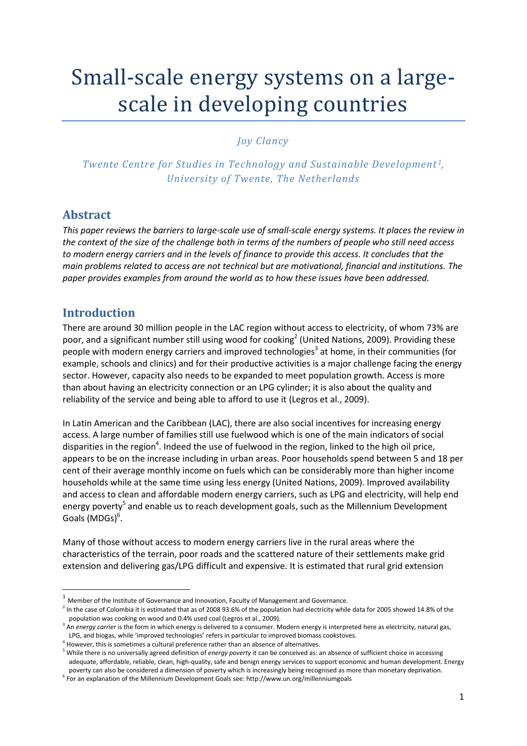# Small-scale energy systems on a largescale in developing countries

## *Joy Clancy*

*Twente Centre for Studies in Technology and Sustainable Development<sup>1</sup>*, *University of Twente, The Netherlands*

## **Abstract**

*This paper reviews the barriers to large-scale use of small-scale energy systems. It places the review in the context of the size of the challenge both in terms of the numbers of people who still need access to modern energy carriers and in the levels of finance to provide this access. It concludes that the main problems related to access are not technical but are motivational, financial and institutions. The paper provides examples from around the world as to how these issues have been addressed.*

# **Introduction**

1

There are around 30 million people in the LAC region without access to electricity, of whom 73% are poor, and a significant number still using wood for cooking<sup>2</sup> [\(United Nations, 2009\)](#page-13-0). Providing these people with modern energy carriers and improved technologies<sup>3</sup> at home, in their communities (for example, schools and clinics) and for their productive activities is a major challenge facing the energy sector. However, capacity also needs to be expanded to meet population growth. Access is more than about having an electricity connection or an LPG cylinder; it is also about the quality and reliability of the service and being able to afford to use it [\(Legros et al., 2009\)](#page-12-0).

In Latin American and the Caribbean (LAC), there are also social incentives for increasing energy access. A large number of families still use fuelwood which is one of the main indicators of social disparities in the region<sup>4</sup>. Indeed the use of fuelwood in the region, linked to the high oil price, appears to be on the increase including in urban areas. Poor households spend between 5 and 18 per cent of their average monthly income on fuels which can be considerably more than higher income households while at the same time using less energy (United Nations, 2009). Improved availability and access to clean and affordable modern energy carriers, such as LPG and electricity, will help end energy poverty<sup>5</sup> and enable us to reach development goals, such as the Millennium Development Goals (MDGs)<sup>6</sup>.

Many of those without access to modern energy carriers live in the rural areas where the characteristics of the terrain, poor roads and the scattered nature of their settlements make grid extension and delivering gas/LPG difficult and expensive. It is estimated that rural grid extension

 $1$  Member of the Institute of Governance and Innovation, Faculty of Management and Governance.

 $^2$  In the case of Colombia it is estimated that as of 2008 93.6% of the population had electricity while data for 2005 showed 14.8% of the population was cooking on wood and 0.4% used coal (Legros et al., 2009).

<sup>&</sup>lt;sup>3</sup> An *energy carrier* is the form in which energy is delivered to a consumer. Modern energy is interpreted here as electricity, natural gas, LPG, and biogas, while 'improved technologies' refers in particular to improved biomass cookstoves.

 $<sup>4</sup>$  However, this is sometimes a cultural preference rather than an absence of alternatives.</sup>

<sup>5</sup> While there is no universally agreed definition of *energy poverty* it can be conceived as: an absence of sufficient choice in accessing adequate, affordable, reliable, clean, high-quality, safe and benign energy services to support economic and human development. Energy poverty can also be considered a dimension of poverty which is increasingly being recognised as more than monetary deprivation.

<sup>6</sup> For an explanation of the Millennium Development Goals see: http://www.un.org/millenniumgoals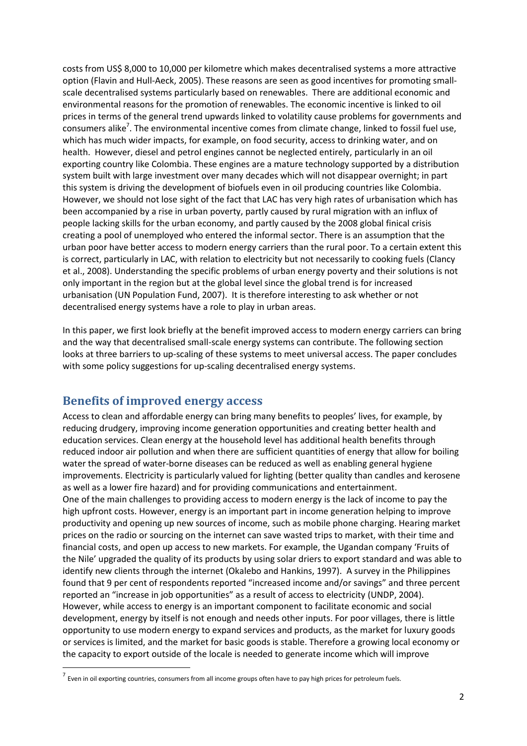costs from US\$ 8,000 to 10,000 per kilometre which makes decentralised systems a more attractive option [\(Flavin and Hull-Aeck, 2005\)](#page-12-1). These reasons are seen as good incentives for promoting smallscale decentralised systems particularly based on renewables. There are additional economic and environmental reasons for the promotion of renewables. The economic incentive is linked to oil prices in terms of the general trend upwards linked to volatility cause problems for governments and consumers alike<sup>7</sup>. The environmental incentive comes from climate change, linked to fossil fuel use, which has much wider impacts, for example, on food security, access to drinking water, and on health. However, diesel and petrol engines cannot be neglected entirely, particularly in an oil exporting country like Colombia. These engines are a mature technology supported by a distribution system built with large investment over many decades which will not disappear overnight; in part this system is driving the development of biofuels even in oil producing countries like Colombia. However, we should not lose sight of the fact that LAC has very high rates of urbanisation which has been accompanied by a rise in urban poverty, partly caused by rural migration with an influx of people lacking skills for the urban economy, and partly caused by the 2008 global finical crisis creating a pool of unemployed who entered the informal sector. There is an assumption that the urban poor have better access to modern energy carriers than the rural poor. To a certain extent this is correct, particularly in LAC, with relation to electricity but not necessarily to cooking fuels [\(Clancy](#page-11-0)  [et al., 2008\)](#page-11-0). Understanding the specific problems of urban energy poverty and their solutions is not only important in the region but at the global level since the global trend is for increased urbanisation [\(UN Population Fund, 2007\)](#page-12-2). It is therefore interesting to ask whether or not decentralised energy systems have a role to play in urban areas.

In this paper, we first look briefly at the benefit improved access to modern energy carriers can bring and the way that decentralised small-scale energy systems can contribute. The following section looks at three barriers to up-scaling of these systems to meet universal access. The paper concludes with some policy suggestions for up-scaling decentralised energy systems.

## **Benefits of improved energy access**

**.** 

Access to clean and affordable energy can bring many benefits to peoples' lives, for example, by reducing drudgery, improving income generation opportunities and creating better health and education services. Clean energy at the household level has additional health benefits through reduced indoor air pollution and when there are sufficient quantities of energy that allow for boiling water the spread of water-borne diseases can be reduced as well as enabling general hygiene improvements. Electricity is particularly valued for lighting (better quality than candles and kerosene as well as a lower fire hazard) and for providing communications and entertainment. One of the main challenges to providing access to modern energy is the lack of income to pay the high upfront costs. However, energy is an important part in income generation helping to improve productivity and opening up new sources of income, such as mobile phone charging. Hearing market prices on the radio or sourcing on the internet can save wasted trips to market, with their time and financial costs, and open up access to new markets. For example, the Ugandan company 'Fruits of the Nile' upgraded the quality of its products by using solar driers to export standard and was able to identify new clients through the internet [\(Okalebo and Hankins, 1997\)](#page-12-3). A survey in the Philippines found that 9 per cent of respondents reported "increased income and/or savings" and three percent reported an "increase in job opportunities" as a result of access to electricity [\(UNDP, 2004\)](#page-12-4). However, while access to energy is an important component to facilitate economic and social development, energy by itself is not enough and needs other inputs. For poor villages, there is little opportunity to use modern energy to expand services and products, as the market for luxury goods or services is limited, and the market for basic goods is stable. Therefore a growing local economy or the capacity to export outside of the locale is needed to generate income which will improve

<sup>7&</sup>lt;br>Even in oil exporting countries, consumers from all income groups often have to pay high prices for petroleum fuels.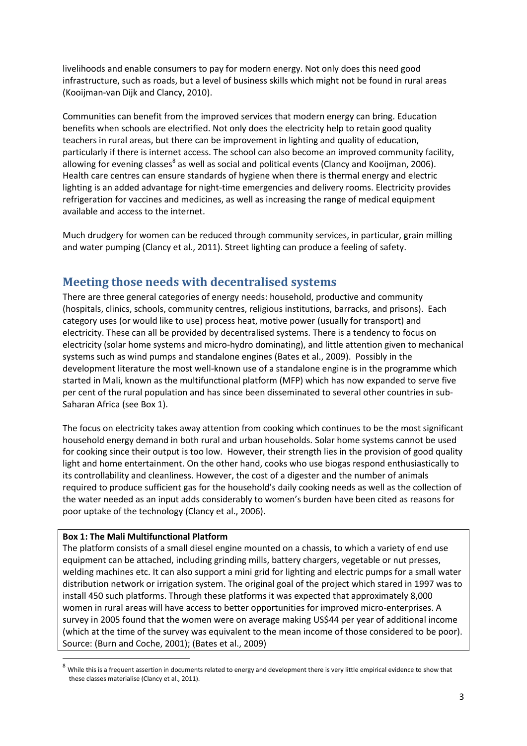livelihoods and enable consumers to pay for modern energy. Not only does this need good infrastructure, such as roads, but a level of business skills which might not be found in rural areas [\(Kooijman-van Dijk and Clancy, 2010\)](#page-12-5).

Communities can benefit from the improved services that modern energy can bring. Education benefits when schools are electrified. Not only does the electricity help to retain good quality teachers in rural areas, but there can be improvement in lighting and quality of education, particularly if there is internet access. The school can also become an improved community facility, allowing for evening classes<sup>8</sup> as well as social and political events [\(Clancy and Kooijman, 2006\)](#page-12-6). Health care centres can ensure standards of hygiene when there is thermal energy and electric lighting is an added advantage for night-time emergencies and delivery rooms. Electricity provides refrigeration for vaccines and medicines, as well as increasing the range of medical equipment available and access to the internet.

Much drudgery for women can be reduced through community services, in particular, grain milling and water pumping [\(Clancy et al., 2011\)](#page-11-1). Street lighting can produce a feeling of safety.

# **Meeting those needs with decentralised systems**

There are three general categories of energy needs: household, productive and community (hospitals, clinics, schools, community centres, religious institutions, barracks, and prisons). Each category uses (or would like to use) process heat, motive power (usually for transport) and electricity. These can all be provided by decentralised systems. There is a tendency to focus on electricity (solar home systems and micro-hydro dominating), and little attention given to mechanical systems such as wind pumps and standalone engines [\(Bates et al., 2009\)](#page-11-2). Possibly in the development literature the most well-known use of a standalone engine is in the programme which started in Mali, known as the multifunctional platform (MFP) which has now expanded to serve five per cent of the rural population and has since been disseminated to several other countries in sub-Saharan Africa (see Box 1).

The focus on electricity takes away attention from cooking which continues to be the most significant household energy demand in both rural and urban households. Solar home systems cannot be used for cooking since their output is too low. However, their strength lies in the provision of good quality light and home entertainment. On the other hand, cooks who use biogas respond enthusiastically to its controllability and cleanliness. However, the cost of a digester and the number of animals required to produce sufficient gas for the household's daily cooking needs as well as the collection of the water needed as an input adds considerably to women's burden have been cited as reasons for poor uptake of the technology [\(Clancy et al., 2006\)](#page-12-7).

#### **Box 1: The Mali Multifunctional Platform**

**.** 

The platform consists of a small diesel engine mounted on a chassis, to which a variety of end use equipment can be attached, including grinding mills, battery chargers, vegetable or nut presses, welding machines etc. It can also support a mini grid for lighting and electric pumps for a small water distribution network or irrigation system. The original goal of the project which stared in 1997 was to install 450 such platforms. Through these platforms it was expected that approximately 8,000 women in rural areas will have access to better opportunities for improved micro-enterprises. A survey in 2005 found that the women were on average making US\$44 per year of additional income (which at the time of the survey was equivalent to the mean income of those considered to be poor). Source: [\(Burn and Coche, 2001\)](#page-11-3); [\(Bates et al., 2009\)](#page-11-2)

 $^8$  While this is a frequent assertion in documents related to energy and development there is very little empirical evidence to show that these classes materialise (Clancy et al., 2011).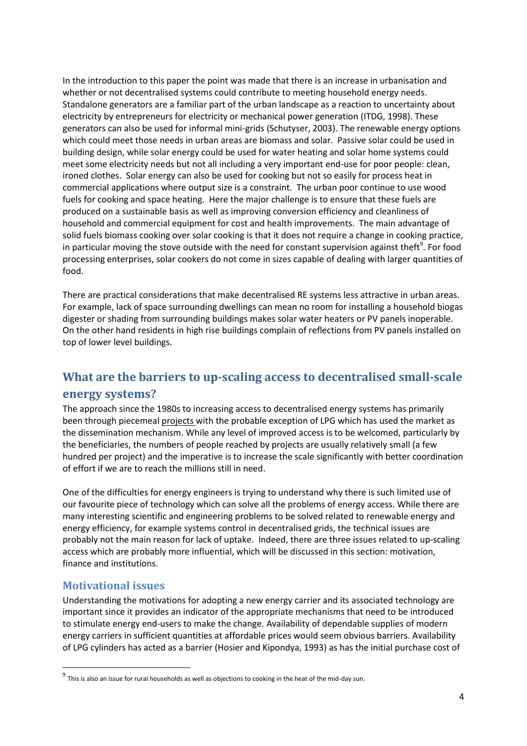In the introduction to this paper the point was made that there is an increase in urbanisation and whether or not decentralised systems could contribute to meeting household energy needs. Standalone generators are a familiar part of the urban landscape as a reaction to uncertainty about electricity by entrepreneurs for electricity or mechanical power generation [\(ITDG, 1998\)](#page-12-8). These generators can also be used for informal mini-grids [\(Schutyser, 2003\)](#page-12-9). The renewable energy options which could meet those needs in urban areas are biomass and solar. Passive solar could be used in building design, while solar energy could be used for water heating and solar home systems could meet some electricity needs but not all including a very important end-use for poor people: clean, ironed clothes. Solar energy can also be used for cooking but not so easily for process heat in commercial applications where output size is a constraint. The urban poor continue to use wood fuels for cooking and space heating. Here the major challenge is to ensure that these fuels are produced on a sustainable basis as well as improving conversion efficiency and cleanliness of household and commercial equipment for cost and health improvements. The main advantage of solid fuels biomass cooking over solar cooking is that it does not require a change in cooking practice, in particular moving the stove outside with the need for constant supervision against theft<sup>9</sup>. For food processing enterprises, solar cookers do not come in sizes capable of dealing with larger quantities of food.

There are practical considerations that make decentralised RE systems less attractive in urban areas. For example, lack of space surrounding dwellings can mean no room for installing a household biogas digester or shading from surrounding buildings makes solar water heaters or PV panels inoperable. On the other hand residents in high rise buildings complain of reflections from PV panels installed on top of lower level buildings.

# **What are the barriers to up-scaling access to decentralised small-scale energy systems?**

The approach since the 1980s to increasing access to decentralised energy systems has primarily been through piecemeal projects with the probable exception of LPG which has used the market as the dissemination mechanism. While any level of improved access is to be welcomed, particularly by the beneficiaries, the numbers of people reached by projects are usually relatively small (a few hundred per project) and the imperative is to increase the scale significantly with better coordination of effort if we are to reach the millions still in need.

One of the difficulties for energy engineers is trying to understand why there is such limited use of our favourite piece of technology which can solve all the problems of energy access. While there are many interesting scientific and engineering problems to be solved related to renewable energy and energy efficiency, for example systems control in decentralised grids, the technical issues are probably not the main reason for lack of uptake. Indeed, there are three issues related to up-scaling access which are probably more influential, which will be discussed in this section: motivation, finance and institutions.

## **Motivational issues**

**.** 

Understanding the motivations for adopting a new energy carrier and its associated technology are important since it provides an indicator of the appropriate mechanisms that need to be introduced to stimulate energy end-users to make the change. Availability of dependable supplies of modern energy carriers in sufficient quantities at affordable prices would seem obvious barriers. Availability of LPG cylinders has acted as a barrier [\(Hosier and Kipondya, 1993\)](#page-12-10) as has the initial purchase cost of

 $^9$  This is also an issue for rural households as well as objections to cooking in the heat of the mid-day sun.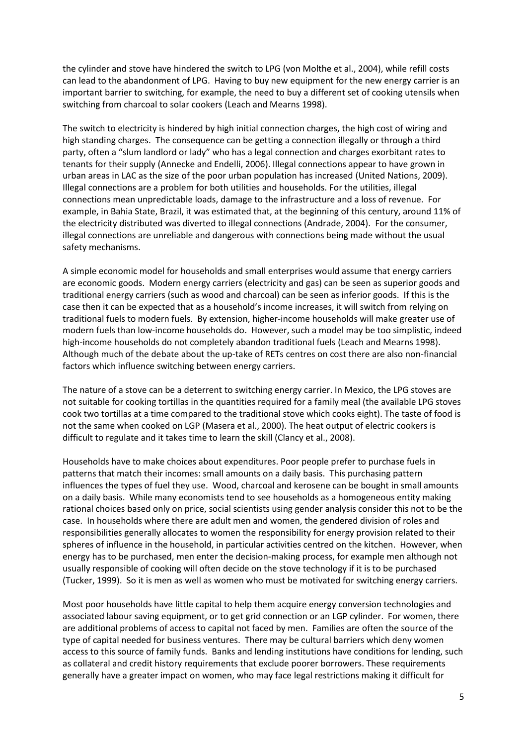the cylinder and stove have hindered the switch to LPG [\(von Molthe et al., 2004\)](#page-13-1), while refill costs can lead to the abandonment of LPG. Having to buy new equipment for the new energy carrier is an important barrier to switching, for example, the need to buy a different set of cooking utensils when switching from charcoal to solar cookers [\(Leach and Mearns 1998\)](#page-12-11).

The switch to electricity is hindered by high initial connection charges, the high cost of wiring and high standing charges. The consequence can be getting a connection illegally or through a third party, often a "slum landlord or lady" who has a legal connection and charges exorbitant rates to tenants for their supply [\(Annecke and Endelli, 2006\)](#page-11-4). Illegal connections appear to have grown in urban areas in LAC as the size of the poor urban population has increased [\(United Nations, 2009\)](#page-13-0). Illegal connections are a problem for both utilities and households. For the utilities, illegal connections mean unpredictable loads, damage to the infrastructure and a loss of revenue. For example, in Bahia State, Brazil, it was estimated that, at the beginning of this century, around 11% of the electricity distributed was diverted to illegal connections [\(Andrade, 2004\)](#page-11-5). For the consumer, illegal connections are unreliable and dangerous with connections being made without the usual safety mechanisms.

A simple economic model for households and small enterprises would assume that energy carriers are economic goods. Modern energy carriers (electricity and gas) can be seen as superior goods and traditional energy carriers (such as wood and charcoal) can be seen as inferior goods. If this is the case then it can be expected that as a household's income increases, it will switch from relying on traditional fuels to modern fuels. By extension, higher-income households will make greater use of modern fuels than low-income households do. However, such a model may be too simplistic, indeed high-income households do not completely abandon traditional fuels [\(Leach and Mearns 1998\)](#page-12-11). Although much of the debate about the up-take of RETs centres on cost there are also non-financial factors which influence switching between energy carriers.

The nature of a stove can be a deterrent to switching energy carrier. In Mexico, the LPG stoves are not suitable for cooking tortillas in the quantities required for a family meal (the available LPG stoves cook two tortillas at a time compared to the traditional stove which cooks eight). The taste of food is not the same when cooked on LGP [\(Masera et al., 2000\)](#page-12-12). The heat output of electric cookers is difficult to regulate and it takes time to learn the skill [\(Clancy et al., 2008\)](#page-11-0).

Households have to make choices about expenditures. Poor people prefer to purchase fuels in patterns that match their incomes: small amounts on a daily basis. This purchasing pattern influences the types of fuel they use. Wood, charcoal and kerosene can be bought in small amounts on a daily basis. While many economists tend to see households as a homogeneous entity making rational choices based only on price, social scientists using gender analysis consider this not to be the case. In households where there are adult men and women, the gendered division of roles and responsibilities generally allocates to women the responsibility for energy provision related to their spheres of influence in the household, in particular activities centred on the kitchen. However, when energy has to be purchased, men enter the decision-making process, for example men although not usually responsible of cooking will often decide on the stove technology if it is to be purchased [\(Tucker, 1999\)](#page-12-13). So it is men as well as women who must be motivated for switching energy carriers.

Most poor households have little capital to help them acquire energy conversion technologies and associated labour saving equipment, or to get grid connection or an LGP cylinder. For women, there are additional problems of access to capital not faced by men. Families are often the source of the type of capital needed for business ventures. There may be cultural barriers which deny women access to this source of family funds. Banks and lending institutions have conditions for lending, such as collateral and credit history requirements that exclude poorer borrowers. These requirements generally have a greater impact on women, who may face legal restrictions making it difficult for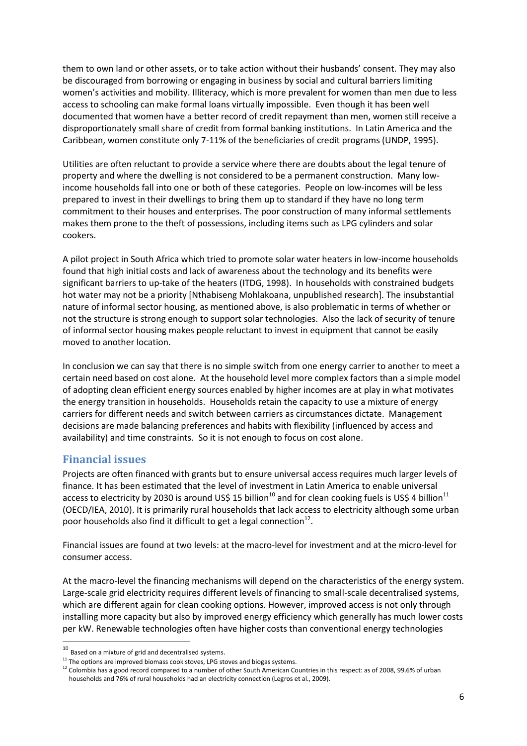them to own land or other assets, or to take action without their husbands' consent. They may also be discouraged from borrowing or engaging in business by social and cultural barriers limiting women's activities and mobility. Illiteracy, which is more prevalent for women than men due to less access to schooling can make formal loans virtually impossible. Even though it has been well documented that women have a better record of credit repayment than men, women still receive a disproportionately small share of credit from formal banking institutions. In Latin America and the Caribbean, women constitute only 7-11% of the beneficiaries of credit programs [\(UNDP, 1995\)](#page-12-14).

Utilities are often reluctant to provide a service where there are doubts about the legal tenure of property and where the dwelling is not considered to be a permanent construction. Many lowincome households fall into one or both of these categories. People on low-incomes will be less prepared to invest in their dwellings to bring them up to standard if they have no long term commitment to their houses and enterprises. The poor construction of many informal settlements makes them prone to the theft of possessions, including items such as LPG cylinders and solar cookers.

A pilot project in South Africa which tried to promote solar water heaters in low-income households found that high initial costs and lack of awareness about the technology and its benefits were significant barriers to up-take of the heaters [\(ITDG, 1998\)](#page-12-8). In households with constrained budgets hot water may not be a priority [Nthabiseng Mohlakoana, unpublished research]. The insubstantial nature of informal sector housing, as mentioned above, is also problematic in terms of whether or not the structure is strong enough to support solar technologies. Also the lack of security of tenure of informal sector housing makes people reluctant to invest in equipment that cannot be easily moved to another location.

In conclusion we can say that there is no simple switch from one energy carrier to another to meet a certain need based on cost alone. At the household level more complex factors than a simple model of adopting clean efficient energy sources enabled by higher incomes are at play in what motivates the energy transition in households. Households retain the capacity to use a mixture of energy carriers for different needs and switch between carriers as circumstances dictate. Management decisions are made balancing preferences and habits with flexibility (influenced by access and availability) and time constraints. So it is not enough to focus on cost alone.

## **Financial issues**

**.** 

Projects are often financed with grants but to ensure universal access requires much larger levels of finance. It has been estimated that the level of investment in Latin America to enable universal access to electricity by 2030 is around US\$ 15 billion<sup>10</sup> and for clean cooking fuels is US\$ 4 billion<sup>11</sup> [\(OECD/IEA, 2010\)](#page-12-15). It is primarily rural households that lack access to electricity although some urban poor households also find it difficult to get a legal connection $^{12}$ .

Financial issues are found at two levels: at the macro-level for investment and at the micro-level for consumer access.

At the macro-level the financing mechanisms will depend on the characteristics of the energy system. Large-scale grid electricity requires different levels of financing to small-scale decentralised systems, which are different again for clean cooking options. However, improved access is not only through installing more capacity but also by improved energy efficiency which generally has much lower costs per kW. Renewable technologies often have higher costs than conventional energy technologies

 $10<sup>10</sup>$  Based on a mixture of grid and decentralised systems.

 $11$  The options are improved biomass cook stoves, LPG stoves and biogas systems.

<sup>&</sup>lt;sup>12</sup> Colombia has a good record compared to a number of other South American Countries in this respect: as of 2008, 99.6% of urban households and 76% of rural households had an electricity connection (Legros et al., 2009).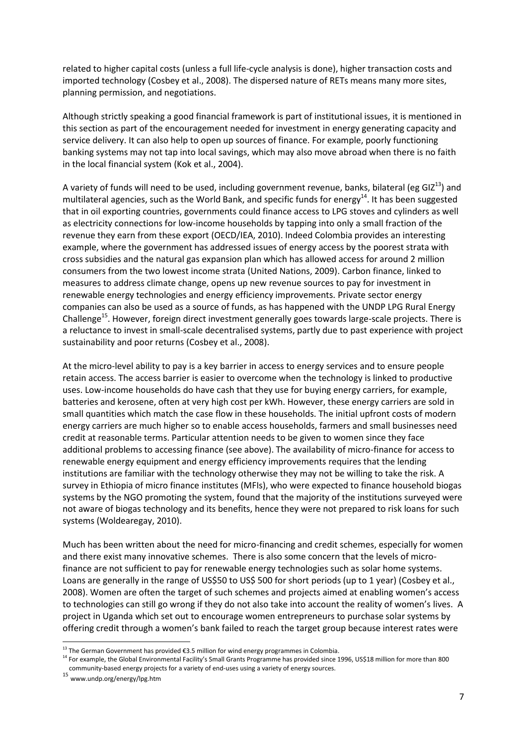related to higher capital costs (unless a full life-cycle analysis is done), higher transaction costs and imported technology [\(Cosbey et al., 2008\)](#page-12-16). The dispersed nature of RETs means many more sites, planning permission, and negotiations.

Although strictly speaking a good financial framework is part of institutional issues, it is mentioned in this section as part of the encouragement needed for investment in energy generating capacity and service delivery. It can also help to open up sources of finance. For example, poorly functioning banking systems may not tap into local savings, which may also move abroad when there is no faith in the local financial system [\(Kok et al., 2004\)](#page-12-17).

A variety of funds will need to be used, including government revenue, banks, bilateral (eg GIZ $^{13}$ ) and multilateral agencies, such as the World Bank, and specific funds for energy<sup>14</sup>. It has been suggested that in oil exporting countries, governments could finance access to LPG stoves and cylinders as well as electricity connections for low-income households by tapping into only a small fraction of the revenue they earn from these export [\(OECD/IEA, 2010\)](#page-12-15). Indeed Colombia provides an interesting example, where the government has addressed issues of energy access by the poorest strata with cross subsidies and the natural gas expansion plan which has allowed access for around 2 million consumers from the two lowest income strata (United Nations, 2009). Carbon finance, linked to measures to address climate change, opens up new revenue sources to pay for investment in renewable energy technologies and energy efficiency improvements. Private sector energy companies can also be used as a source of funds, as has happened with the UNDP LPG Rural Energy Challenge<sup>15</sup>. However, foreign direct investment generally goes towards large-scale projects. There is a reluctance to invest in small-scale decentralised systems, partly due to past experience with project sustainability and poor returns [\(Cosbey et al., 2008\)](#page-12-16).

At the micro-level ability to pay is a key barrier in access to energy services and to ensure people retain access. The access barrier is easier to overcome when the technology is linked to productive uses. Low-income households do have cash that they use for buying energy carriers, for example, batteries and kerosene, often at very high cost per kWh. However, these energy carriers are sold in small quantities which match the case flow in these households. The initial upfront costs of modern energy carriers are much higher so to enable access households, farmers and small businesses need credit at reasonable terms. Particular attention needs to be given to women since they face additional problems to accessing finance (see above). The availability of micro-finance for access to renewable energy equipment and energy efficiency improvements requires that the lending institutions are familiar with the technology otherwise they may not be willing to take the risk. A survey in Ethiopia of micro finance institutes (MFIs), who were expected to finance household biogas systems by the NGO promoting the system, found that the majority of the institutions surveyed were not aware of biogas technology and its benefits, hence they were not prepared to risk loans for such systems [\(Woldearegay, 2010\)](#page-13-2).

Much has been written about the need for micro-financing and credit schemes, especially for women and there exist many innovative schemes. There is also some concern that the levels of microfinance are not sufficient to pay for renewable energy technologies such as solar home systems. Loans are generally in the range of US\$50 to US\$ 500 for short periods (up to 1 year) [\(Cosbey et al.,](#page-12-16)  [2008\)](#page-12-16). Women are often the target of such schemes and projects aimed at enabling women's access to technologies can still go wrong if they do not also take into account the reality of women's lives. A project in Uganda which set out to encourage women entrepreneurs to purchase solar systems by offering credit through a women's bank failed to reach the target group because interest rates were

**<sup>.</sup>**  $13$  The German Government has provided €3.5 million for wind energy programmes in Colombia.

<sup>&</sup>lt;sup>14</sup> For example, the Global Environmental Facility's Small Grants Programme has provided since 1996, US\$18 million for more than 800 community-based energy projects for a variety of end-uses using a variety of energy sources.

<sup>15</sup> www.undp.org/energy/lpg.htm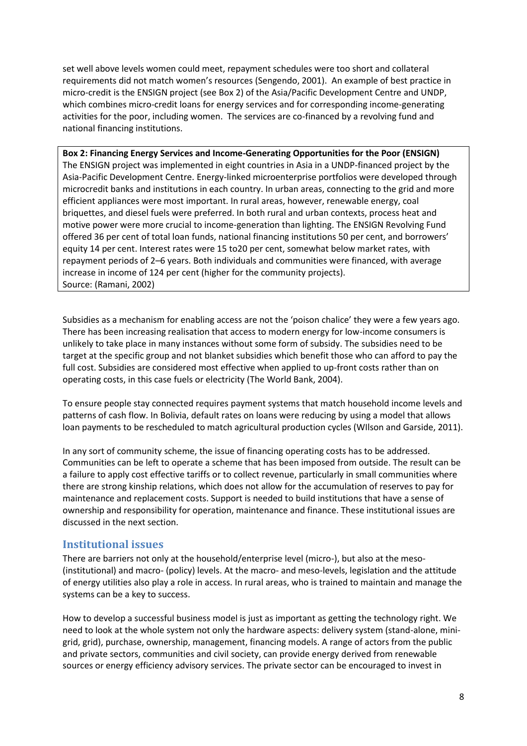set well above levels women could meet, repayment schedules were too short and collateral requirements did not match women's resources [\(Sengendo, 2001\)](#page-12-18). An example of best practice in micro-credit is the ENSIGN project (see Box 2) of the Asia/Pacific Development Centre and UNDP, which combines micro-credit loans for energy services and for corresponding income-generating activities for the poor, including women. The services are co-financed by a revolving fund and national financing institutions.

**Box 2: Financing Energy Services and Income-Generating Opportunities for the Poor (ENSIGN)** The ENSIGN project was implemented in eight countries in Asia in a UNDP-financed project by the Asia-Pacific Development Centre. Energy-linked microenterprise portfolios were developed through microcredit banks and institutions in each country. In urban areas, connecting to the grid and more efficient appliances were most important. In rural areas, however, renewable energy, coal briquettes, and diesel fuels were preferred. In both rural and urban contexts, process heat and motive power were more crucial to income-generation than lighting. The ENSIGN Revolving Fund offered 36 per cent of total loan funds, national financing institutions 50 per cent, and borrowers' equity 14 per cent. Interest rates were 15 to20 per cent, somewhat below market rates, with repayment periods of 2–6 years. Both individuals and communities were financed, with average increase in income of 124 per cent (higher for the community projects). Source: [\(Ramani, 2002\)](#page-12-19)

Subsidies as a mechanism for enabling access are not the 'poison chalice' they were a few years ago. There has been increasing realisation that access to modern energy for low-income consumers is unlikely to take place in many instances without some form of subsidy. The subsidies need to be target at the specific group and not blanket subsidies which benefit those who can afford to pay the full cost. Subsidies are considered most effective when applied to up-front costs rather than on operating costs, in this case fuels or electricity [\(The World Bank, 2004\)](#page-12-20).

To ensure people stay connected requires payment systems that match household income levels and patterns of cash flow. In Bolivia, default rates on loans were reducing by using a model that allows loan payments to be rescheduled to match agricultural production cycles [\(WIlson and Garside, 2011\)](#page-13-3).

In any sort of community scheme, the issue of financing operating costs has to be addressed. Communities can be left to operate a scheme that has been imposed from outside. The result can be a failure to apply cost effective tariffs or to collect revenue, particularly in small communities where there are strong kinship relations, which does not allow for the accumulation of reserves to pay for maintenance and replacement costs. Support is needed to build institutions that have a sense of ownership and responsibility for operation, maintenance and finance. These institutional issues are discussed in the next section.

## **Institutional issues**

There are barriers not only at the household/enterprise level (micro-), but also at the meso- (institutional) and macro- (policy) levels. At the macro- and meso-levels, legislation and the attitude of energy utilities also play a role in access. In rural areas, who is trained to maintain and manage the systems can be a key to success.

How to develop a successful business model is just as important as getting the technology right. We need to look at the whole system not only the hardware aspects: delivery system (stand-alone, minigrid, grid), purchase, ownership, management, financing models. A range of actors from the public and private sectors, communities and civil society, can provide energy derived from renewable sources or energy efficiency advisory services. The private sector can be encouraged to invest in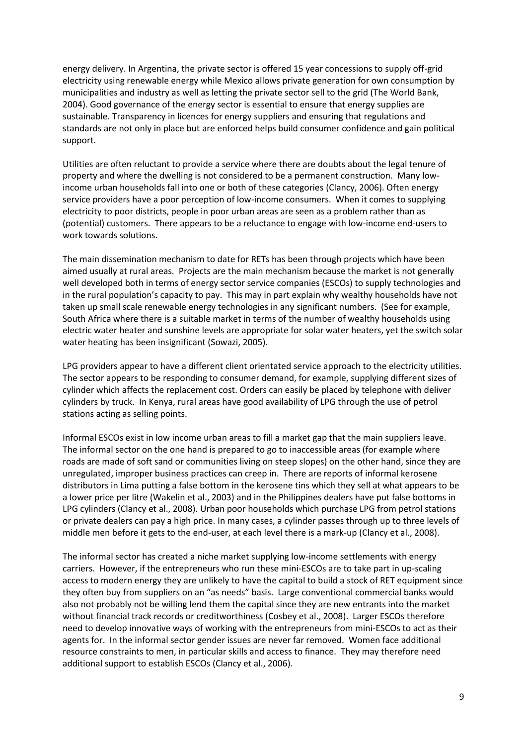energy delivery. In Argentina, the private sector is offered 15 year concessions to supply off-grid electricity using renewable energy while Mexico allows private generation for own consumption by municipalities and industry as well as letting the private sector sell to the grid [\(The World Bank,](#page-12-20)  [2004\)](#page-12-20). Good governance of the energy sector is essential to ensure that energy supplies are sustainable. Transparency in licences for energy suppliers and ensuring that regulations and standards are not only in place but are enforced helps build consumer confidence and gain political support.

Utilities are often reluctant to provide a service where there are doubts about the legal tenure of property and where the dwelling is not considered to be a permanent construction. Many lowincome urban households fall into one or both of these categories [\(Clancy, 2006\)](#page-12-21). Often energy service providers have a poor perception of low-income consumers. When it comes to supplying electricity to poor districts, people in poor urban areas are seen as a problem rather than as (potential) customers. There appears to be a reluctance to engage with low-income end-users to work towards solutions.

The main dissemination mechanism to date for RETs has been through projects which have been aimed usually at rural areas. Projects are the main mechanism because the market is not generally well developed both in terms of energy sector service companies (ESCOs) to supply technologies and in the rural population's capacity to pay. This may in part explain why wealthy households have not taken up small scale renewable energy technologies in any significant numbers. (See for example, South Africa where there is a suitable market in terms of the number of wealthy households using electric water heater and sunshine levels are appropriate for solar water heaters, yet the switch solar water heating has been insignificant [\(Sowazi, 2005\)](#page-12-22).

LPG providers appear to have a different client orientated service approach to the electricity utilities. The sector appears to be responding to consumer demand, for example, supplying different sizes of cylinder which affects the replacement cost. Orders can easily be placed by telephone with deliver cylinders by truck. In Kenya, rural areas have good availability of LPG through the use of petrol stations acting as selling points.

Informal ESCOs exist in low income urban areas to fill a market gap that the main suppliers leave. The informal sector on the one hand is prepared to go to inaccessible areas (for example where roads are made of soft sand or communities living on steep slopes) on the other hand, since they are unregulated, improper business practices can creep in. There are reports of informal kerosene distributors in Lima putting a false bottom in the kerosene tins which they sell at what appears to be a lower price per litre [\(Wakelin et al., 2003\)](#page-13-4) and in the Philippines dealers have put false bottoms in LPG cylinders [\(Clancy et al., 2008\)](#page-11-0). Urban poor households which purchase LPG from petrol stations or private dealers can pay a high price. In many cases, a cylinder passes through up to three levels of middle men before it gets to the end-user, at each level there is a mark-up [\(Clancy et al., 2008\)](#page-11-0).

The informal sector has created a niche market supplying low-income settlements with energy carriers. However, if the entrepreneurs who run these mini-ESCOs are to take part in up-scaling access to modern energy they are unlikely to have the capital to build a stock of RET equipment since they often buy from suppliers on an "as needs" basis. Large conventional commercial banks would also not probably not be willing lend them the capital since they are new entrants into the market without financial track records or creditworthiness [\(Cosbey et al., 2008\)](#page-12-16). Larger ESCOs therefore need to develop innovative ways of working with the entrepreneurs from mini-ESCOs to act as their agents for. In the informal sector gender issues are never far removed. Women face additional resource constraints to men, in particular skills and access to finance. They may therefore need additional support to establish ESCOs [\(Clancy et al., 2006\)](#page-12-7).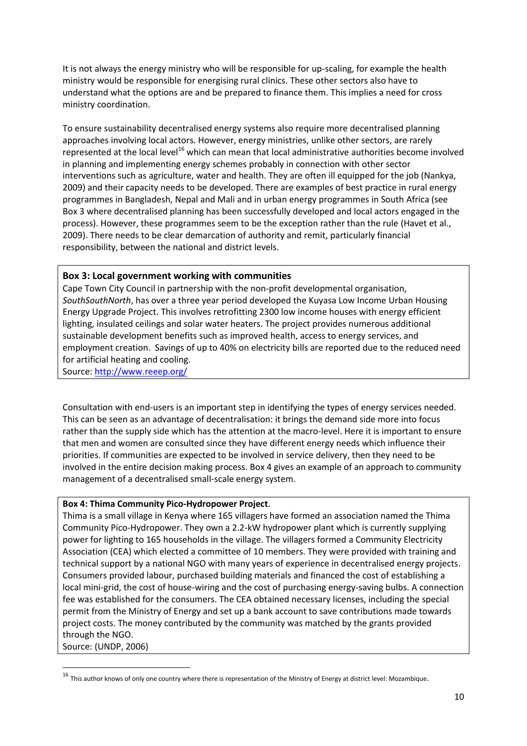It is not always the energy ministry who will be responsible for up-scaling, for example the health ministry would be responsible for energising rural clinics. These other sectors also have to understand what the options are and be prepared to finance them. This implies a need for cross ministry coordination.

To ensure sustainability decentralised energy systems also require more decentralised planning approaches involving local actors. However, energy ministries, unlike other sectors, are rarely represented at the local level<sup>16</sup> which can mean that local administrative authorities become involved in planning and implementing energy schemes probably in connection with other sector interventions such as agriculture, water and health. They are often ill equipped for the job [\(Nankya,](#page-12-23)  [2009\)](#page-12-23) and their capacity needs to be developed. There are examples of best practice in rural energy programmes in Bangladesh, Nepal and Mali and in urban energy programmes in South Africa (see Box 3 where decentralised planning has been successfully developed and local actors engaged in the process). However, these programmes seem to be the exception rather than the rule [\(Havet et al.,](#page-12-24)  [2009\)](#page-12-24). There needs to be clear demarcation of authority and remit, particularly financial responsibility, between the national and district levels.

#### **Box 3: Local government working with communities**

Cape Town City Council in partnership with the non-profit developmental organisation, *SouthSouthNorth*, has over a three year period developed the Kuyasa Low Income Urban Housing Energy Upgrade Project. This involves retrofitting 2300 low income houses with energy efficient lighting, insulated ceilings and solar water heaters. The project provides numerous additional sustainable development benefits such as improved health, access to energy services, and employment creation. Savings of up to 40% on electricity bills are reported due to the reduced need for artificial heating and cooling.

Source:<http://www.reeep.org/>

**.** 

Consultation with end-users is an important step in identifying the types of energy services needed. This can be seen as an advantage of decentralisation: it brings the demand side more into focus rather than the supply side which has the attention at the macro-level. Here it is important to ensure that men and women are consulted since they have different energy needs which influence their priorities. If communities are expected to be involved in service delivery, then they need to be involved in the entire decision making process. Box 4 gives an example of an approach to community management of a decentralised small-scale energy system.

#### **Box 4: Thima Community Pico-Hydropower Project**.

Thima is a small village in Kenya where 165 villagers have formed an association named the Thima Community Pico-Hydropower. They own a 2.2-kW hydropower plant which is currently supplying power for lighting to 165 households in the village. The villagers formed a Community Electricity Association (CEA) which elected a committee of 10 members. They were provided with training and technical support by a national NGO with many years of experience in decentralised energy projects. Consumers provided labour, purchased building materials and financed the cost of establishing a local mini-grid, the cost of house-wiring and the cost of purchasing energy-saving bulbs. A connection fee was established for the consumers. The CEA obtained necessary licenses, including the special permit from the Ministry of Energy and set up a bank account to save contributions made towards project costs. The money contributed by the community was matched by the grants provided through the NGO. Source: [\(UNDP, 2006\)](#page-12-25)

 $16$  This author knows of only one country where there is representation of the Ministry of Energy at district level: Mozambique.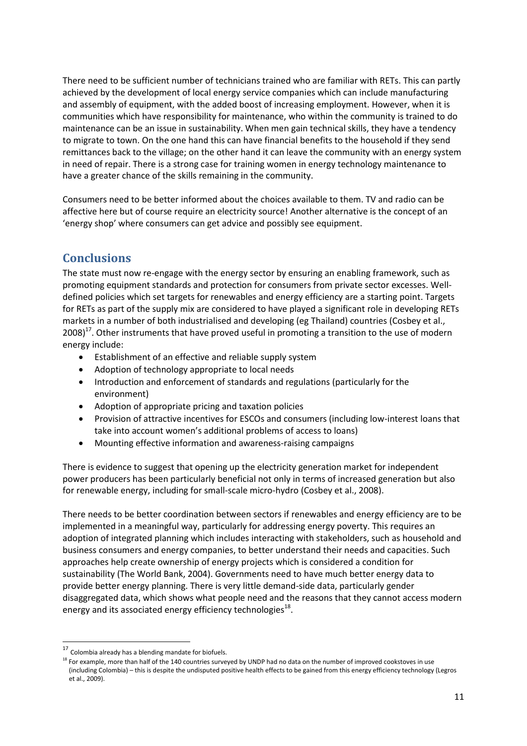There need to be sufficient number of technicians trained who are familiar with RETs. This can partly achieved by the development of local energy service companies which can include manufacturing and assembly of equipment, with the added boost of increasing employment. However, when it is communities which have responsibility for maintenance, who within the community is trained to do maintenance can be an issue in sustainability. When men gain technical skills, they have a tendency to migrate to town. On the one hand this can have financial benefits to the household if they send remittances back to the village; on the other hand it can leave the community with an energy system in need of repair. There is a strong case for training women in energy technology maintenance to have a greater chance of the skills remaining in the community.

Consumers need to be better informed about the choices available to them. TV and radio can be affective here but of course require an electricity source! Another alternative is the concept of an 'energy shop' where consumers can get advice and possibly see equipment.

# **Conclusions**

The state must now re-engage with the energy sector by ensuring an enabling framework, such as promoting equipment standards and protection for consumers from private sector excesses. Welldefined policies which set targets for renewables and energy efficiency are a starting point. Targets for RETs as part of the supply mix are considered to have played a significant role in developing RETs markets in a number of both industrialised and developing (eg Thailand) countries [\(Cosbey et al.,](#page-12-16)   $2008$ )<sup>17</sup>. Other instruments that have proved useful in promoting a transition to the use of modern energy include:

- Establishment of an effective and reliable supply system
- Adoption of technology appropriate to local needs
- Introduction and enforcement of standards and regulations (particularly for the environment)
- Adoption of appropriate pricing and taxation policies
- Provision of attractive incentives for ESCOs and consumers (including low-interest loans that take into account women's additional problems of access to loans)
- Mounting effective information and awareness-raising campaigns

There is evidence to suggest that opening up the electricity generation market for independent power producers has been particularly beneficial not only in terms of increased generation but also for renewable energy, including for small-scale micro-hydro [\(Cosbey et al., 2008\)](#page-12-16).

There needs to be better coordination between sectors if renewables and energy efficiency are to be implemented in a meaningful way, particularly for addressing energy poverty. This requires an adoption of integrated planning which includes interacting with stakeholders, such as household and business consumers and energy companies, to better understand their needs and capacities. Such approaches help create ownership of energy projects which is considered a condition for sustainability [\(The World Bank, 2004\)](#page-12-20). Governments need to have much better energy data to provide better energy planning. There is very little demand-side data, particularly gender disaggregated data, which shows what people need and the reasons that they cannot access modern energy and its associated energy efficiency technologies $^{18}$ .

**.** 

 $17$  Colombia already has a blending mandate for biofuels.

<sup>&</sup>lt;sup>18</sup> For example, more than half of the 140 countries surveyed by UNDP had no data on the number of improved cookstoves in use (including Colombia) – this is despite the undisputed positive health effects to be gained from this energy efficiency technology (Legros et al., 2009).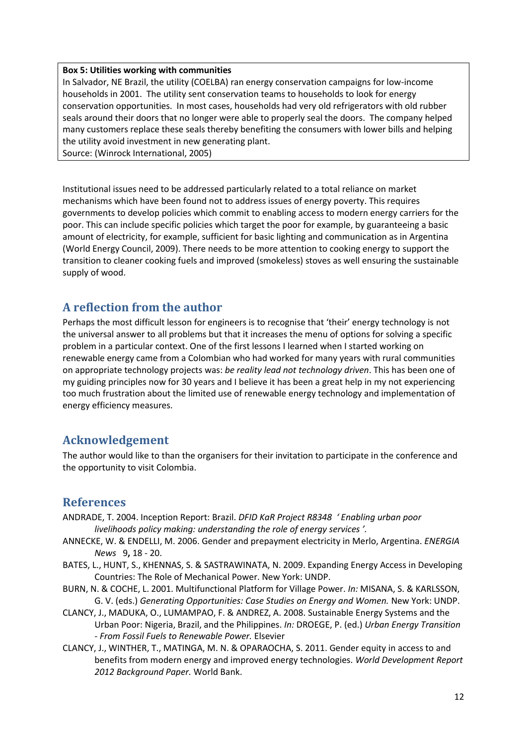#### **Box 5: Utilities working with communities**

In Salvador, NE Brazil, the utility (COELBA) ran energy conservation campaigns for low-income households in 2001. The utility sent conservation teams to households to look for energy conservation opportunities. In most cases, households had very old refrigerators with old rubber seals around their doors that no longer were able to properly seal the doors. The company helped many customers replace these seals thereby benefiting the consumers with lower bills and helping the utility avoid investment in new generating plant.

Source: [\(Winrock International, 2005\)](#page-13-5)

Institutional issues need to be addressed particularly related to a total reliance on market mechanisms which have been found not to address issues of energy poverty. This requires governments to develop policies which commit to enabling access to modern energy carriers for the poor. This can include specific policies which target the poor for example, by guaranteeing a basic amount of electricity, for example, sufficient for basic lighting and communication as in Argentina [\(World Energy Council, 2009\)](#page-13-6). There needs to be more attention to cooking energy to support the transition to cleaner cooking fuels and improved (smokeless) stoves as well ensuring the sustainable supply of wood.

## **A reflection from the author**

Perhaps the most difficult lesson for engineers is to recognise that 'their' energy technology is not the universal answer to all problems but that it increases the menu of options for solving a specific problem in a particular context. One of the first lessons I learned when I started working on renewable energy came from a Colombian who had worked for many years with rural communities on appropriate technology projects was: *be reality lead not technology driven*. This has been one of my guiding principles now for 30 years and I believe it has been a great help in my not experiencing too much frustration about the limited use of renewable energy technology and implementation of energy efficiency measures.

# **Acknowledgement**

The author would like to than the organisers for their invitation to participate in the conference and the opportunity to visit Colombia.

# **References**

- <span id="page-11-5"></span>ANDRADE, T. 2004. Inception Report: Brazil. *DFID KaR Project R8348 ' Enabling urban poor livelihoods policy making: understanding the role of energy services '.*
- <span id="page-11-4"></span>ANNECKE, W. & ENDELLI, M. 2006. Gender and prepayment electricity in Merlo, Argentina. *ENERGIA News* 9**,** 18 - 20.
- <span id="page-11-2"></span>BATES, L., HUNT, S., KHENNAS, S. & SASTRAWINATA, N. 2009. Expanding Energy Access in Developing Countries: The Role of Mechanical Power. New York: UNDP.
- <span id="page-11-3"></span>BURN, N. & COCHE, L. 2001. Multifunctional Platform for Village Power. *In:* MISANA, S. & KARLSSON, G. V. (eds.) *Generating Opportunities: Case Studies on Energy and Women.* New York: UNDP.
- <span id="page-11-0"></span>CLANCY, J., MADUKA, O., LUMAMPAO, F. & ANDREZ, A. 2008. Sustainable Energy Systems and the Urban Poor: Nigeria, Brazil, and the Philippines. *In:* DROEGE, P. (ed.) *Urban Energy Transition - From Fossil Fuels to Renewable Power.* Elsevier
- <span id="page-11-1"></span>CLANCY, J., WINTHER, T., MATINGA, M. N. & OPARAOCHA, S. 2011. Gender equity in access to and benefits from modern energy and improved energy technologies. *World Development Report 2012 Background Paper.* World Bank.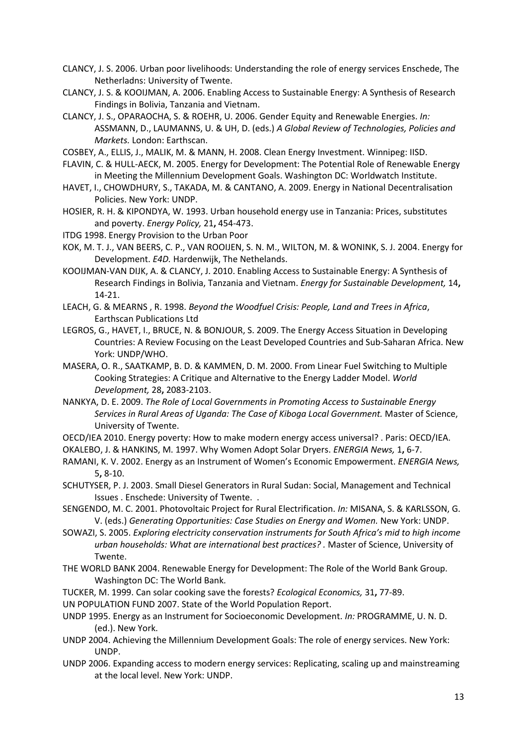<span id="page-12-21"></span>CLANCY, J. S. 2006. Urban poor livelihoods: Understanding the role of energy services Enschede, The Netherladns: University of Twente.

<span id="page-12-6"></span>CLANCY, J. S. & KOOIJMAN, A. 2006. Enabling Access to Sustainable Energy: A Synthesis of Research Findings in Bolivia, Tanzania and Vietnam.

<span id="page-12-7"></span>CLANCY, J. S., OPARAOCHA, S. & ROEHR, U. 2006. Gender Equity and Renewable Energies. *In:* ASSMANN, D., LAUMANNS, U. & UH, D. (eds.) *A Global Review of Technologies, Policies and Markets.* London: Earthscan.

<span id="page-12-16"></span>COSBEY, A., ELLIS, J., MALIK, M. & MANN, H. 2008. Clean Energy Investment. Winnipeg: IISD.

- <span id="page-12-1"></span>FLAVIN, C. & HULL-AECK, M. 2005. Energy for Development: The Potential Role of Renewable Energy in Meeting the Millennium Development Goals. Washington DC: Worldwatch Institute.
- <span id="page-12-24"></span>HAVET, I., CHOWDHURY, S., TAKADA, M. & CANTANO, A. 2009. Energy in National Decentralisation Policies. New York: UNDP.
- <span id="page-12-10"></span>HOSIER, R. H. & KIPONDYA, W. 1993. Urban household energy use in Tanzania: Prices, substitutes and poverty. *Energy Policy,* 21**,** 454-473.
- <span id="page-12-8"></span>ITDG 1998. Energy Provision to the Urban Poor
- <span id="page-12-17"></span>KOK, M. T. J., VAN BEERS, C. P., VAN ROOIJEN, S. N. M., WILTON, M. & WONINK, S. J. 2004. Energy for Development. *E4D.* Hardenwijk, The Nethelands.
- <span id="page-12-5"></span>KOOIJMAN-VAN DIJK, A. & CLANCY, J. 2010. Enabling Access to Sustainable Energy: A Synthesis of Research Findings in Bolivia, Tanzania and Vietnam. *Energy for Sustainable Development,* 14**,** 14-21.
- <span id="page-12-11"></span>LEACH, G. & MEARNS , R. 1998. *Beyond the Woodfuel Crisis: People, Land and Trees in Africa*, Earthscan Publications Ltd
- <span id="page-12-0"></span>LEGROS, G., HAVET, I., BRUCE, N. & BONJOUR, S. 2009. The Energy Access Situation in Developing Countries: A Review Focusing on the Least Developed Countries and Sub-Saharan Africa. New York: UNDP/WHO.
- <span id="page-12-12"></span>MASERA, O. R., SAATKAMP, B. D. & KAMMEN, D. M. 2000. From Linear Fuel Switching to Multiple Cooking Strategies: A Critique and Alternative to the Energy Ladder Model. *World Development,* 28**,** 2083-2103.
- <span id="page-12-23"></span>NANKYA, D. E. 2009. *The Role of Local Governments in Promoting Access to Sustainable Energy Services in Rural Areas of Uganda: The Case of Kiboga Local Government.* Master of Science, University of Twente.
- <span id="page-12-15"></span>OECD/IEA 2010. Energy poverty: How to make modern energy access universal? . Paris: OECD/IEA.

<span id="page-12-3"></span>OKALEBO, J. & HANKINS, M. 1997. Why Women Adopt Solar Dryers. *ENERGIA News,* 1**,** 6-7.

- <span id="page-12-19"></span>RAMANI, K. V. 2002. Energy as an Instrument of Women's Economic Empowerment. *ENERGIA News,* 5**,** 8-10.
- <span id="page-12-9"></span>SCHUTYSER, P. J. 2003. Small Diesel Generators in Rural Sudan: Social, Management and Technical Issues . Enschede: University of Twente. .
- <span id="page-12-18"></span>SENGENDO, M. C. 2001. Photovoltaic Project for Rural Electrification. *In:* MISANA, S. & KARLSSON, G. V. (eds.) *Generating Opportunities: Case Studies on Energy and Women.* New York: UNDP.
- <span id="page-12-22"></span>SOWAZI, S. 2005. *Exploring electricity conservation instruments for South Africa's mid to high income urban households: What are international best practices? .* Master of Science, University of Twente.
- <span id="page-12-20"></span>THE WORLD BANK 2004. Renewable Energy for Development: The Role of the World Bank Group. Washington DC: The World Bank.
- <span id="page-12-13"></span>TUCKER, M. 1999. Can solar cooking save the forests? *Ecological Economics,* 31**,** 77-89.
- <span id="page-12-2"></span>UN POPULATION FUND 2007. State of the World Population Report.
- <span id="page-12-14"></span>UNDP 1995. Energy as an Instrument for Socioeconomic Development. *In:* PROGRAMME, U. N. D. (ed.). New York.
- <span id="page-12-4"></span>UNDP 2004. Achieving the Millennium Development Goals: The role of energy services. New York: UNDP.
- <span id="page-12-25"></span>UNDP 2006. Expanding access to modern energy services: Replicating, scaling up and mainstreaming at the local level. New York: UNDP.